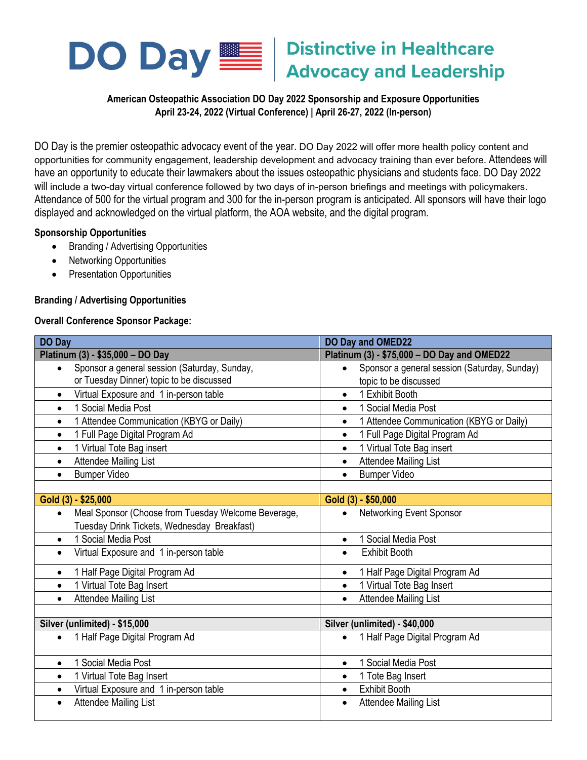

# **Distinctive in Healthcare Advocacy and Leadership**

## **American Osteopathic Association DO Day 2022 Sponsorship and Exposure Opportunities April 23-24, 2022 (Virtual Conference) | April 26-27, 2022 (In-person)**

DO Day is the premier osteopathic advocacy event of the year. DO Day 2022 will offer more health policy content and opportunities for community engagement, leadership development and advocacy training than ever before. Attendees will have an opportunity to educate their lawmakers about the issues osteopathic physicians and students face. DO Day 2022 will include a two-day virtual conference followed by two days of in-person briefings and meetings with policymakers. Attendance of 500 for the virtual program and 300 for the in-person program is anticipated. All sponsors will have their logo displayed and acknowledged on the virtual platform, the AOA website, and the digital program.

## **Sponsorship Opportunities**

- Branding / Advertising Opportunities
- Networking Opportunities
- Presentation Opportunities

## **Branding / Advertising Opportunities**

## **Overall Conference Sponsor Package:**

| <b>DO Day</b>                                                    | <b>DO Day and OMED22</b>                     |
|------------------------------------------------------------------|----------------------------------------------|
| Platinum (3) - \$35,000 - DO Day                                 | Platinum (3) - \$75,000 - DO Day and OMED22  |
| Sponsor a general session (Saturday, Sunday,                     | Sponsor a general session (Saturday, Sunday) |
| $\bullet$                                                        | $\bullet$                                    |
| or Tuesday Dinner) topic to be discussed                         | topic to be discussed                        |
| Virtual Exposure and 1 in-person table                           | 1 Exhibit Booth                              |
| $\bullet$                                                        | $\bullet$                                    |
| 1 Social Media Post                                              | 1 Social Media Post                          |
| $\bullet$                                                        | $\bullet$                                    |
| 1 Attendee Communication (KBYG or Daily)                         | 1 Attendee Communication (KBYG or Daily)     |
| $\bullet$                                                        | $\bullet$                                    |
| 1 Full Page Digital Program Ad                                   | 1 Full Page Digital Program Ad               |
| $\bullet$                                                        | $\bullet$                                    |
| 1 Virtual Tote Bag insert<br>$\bullet$                           | 1 Virtual Tote Bag insert                    |
| <b>Attendee Mailing List</b>                                     | <b>Attendee Mailing List</b>                 |
| $\bullet$                                                        | $\bullet$                                    |
| <b>Bumper Video</b>                                              | <b>Bumper Video</b>                          |
| $\bullet$                                                        | $\bullet$                                    |
|                                                                  |                                              |
| Gold (3) - \$25,000                                              | Gold (3) - \$50,000                          |
| Meal Sponsor (Choose from Tuesday Welcome Beverage,<br>$\bullet$ | Networking Event Sponsor                     |
| Tuesday Drink Tickets, Wednesday Breakfast)                      |                                              |
| Social Media Post                                                | 1 Social Media Post                          |
| $\bullet$                                                        | $\bullet$                                    |
| Virtual Exposure and 1 in-person table                           | <b>Exhibit Booth</b>                         |
| $\bullet$                                                        | $\bullet$                                    |
| 1 Half Page Digital Program Ad                                   | 1 Half Page Digital Program Ad               |
| $\bullet$                                                        | $\bullet$                                    |
| 1 Virtual Tote Bag Insert                                        | 1 Virtual Tote Bag Insert                    |
| $\bullet$                                                        | $\bullet$                                    |
| <b>Attendee Mailing List</b><br>$\bullet$                        | <b>Attendee Mailing List</b>                 |
|                                                                  |                                              |
| Silver (unlimited) - \$15,000                                    | Silver (unlimited) - \$40,000                |
| 1 Half Page Digital Program Ad<br>$\bullet$                      | 1 Half Page Digital Program Ad               |
| 1 Social Media Post                                              | 1 Social Media Post                          |
| $\bullet$                                                        | $\bullet$                                    |
| 1 Virtual Tote Bag Insert                                        | 1 Tote Bag Insert                            |
| $\bullet$                                                        | $\bullet$                                    |
| Virtual Exposure and 1 in-person table                           | <b>Exhibit Booth</b>                         |
| $\bullet$                                                        | $\bullet$                                    |
| <b>Attendee Mailing List</b><br>$\bullet$                        | <b>Attendee Mailing List</b>                 |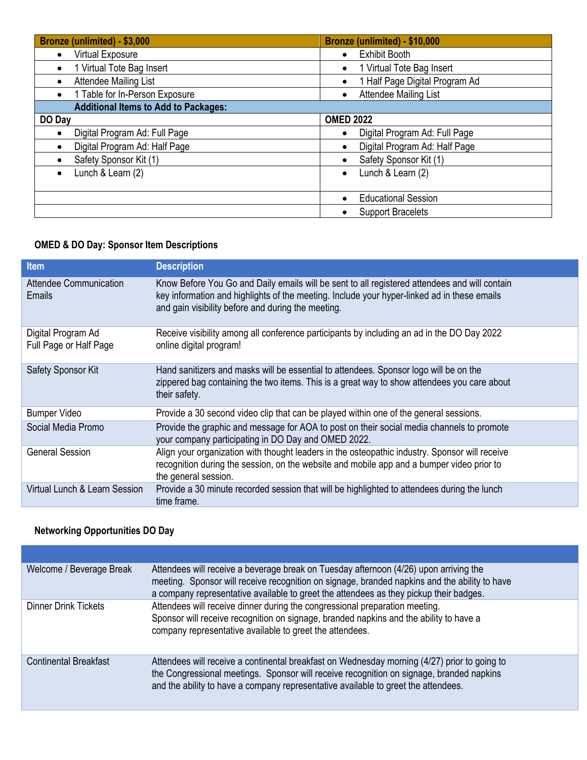| Bronze (unlimited) - \$3,000                | Bronze (unlimited) - \$10,000             |
|---------------------------------------------|-------------------------------------------|
| Virtual Exposure<br>$\bullet$               | <b>Exhibit Booth</b><br>$\bullet$         |
| 1 Virtual Tote Bag Insert<br>$\bullet$      | 1 Virtual Tote Bag Insert<br>$\bullet$    |
| Attendee Mailing List                       | 1 Half Page Digital Program Ad            |
| 1 Table for In-Person Exposure<br>$\bullet$ | <b>Attendee Mailing List</b><br>$\bullet$ |
| <b>Additional Items to Add to Packages:</b> |                                           |
| DO Day                                      | <b>OMED 2022</b>                          |
| Digital Program Ad: Full Page               | Digital Program Ad: Full Page             |
| Digital Program Ad: Half Page               | Digital Program Ad: Half Page             |
| Safety Sponsor Kit (1)                      | Safety Sponsor Kit (1)                    |
| Lunch & Learn (2)<br>$\bullet$              | Lunch & Learn (2)<br>$\bullet$            |
|                                             |                                           |
|                                             | <b>Educational Session</b>                |
|                                             | <b>Support Bracelets</b>                  |

## **OMED & DO Day: Sponsor Item Descriptions**

| <b>Item</b>                                  | <b>Description</b>                                                                                                                                                                                                                                 |
|----------------------------------------------|----------------------------------------------------------------------------------------------------------------------------------------------------------------------------------------------------------------------------------------------------|
| Attendee Communication<br><b>Emails</b>      | Know Before You Go and Daily emails will be sent to all registered attendees and will contain<br>key information and highlights of the meeting. Include your hyper-linked ad in these emails<br>and gain visibility before and during the meeting. |
| Digital Program Ad<br>Full Page or Half Page | Receive visibility among all conference participants by including an ad in the DO Day 2022<br>online digital program!                                                                                                                              |
| Safety Sponsor Kit                           | Hand sanitizers and masks will be essential to attendees. Sponsor logo will be on the<br>zippered bag containing the two items. This is a great way to show attendees you care about<br>their safety.                                              |
| <b>Bumper Video</b>                          | Provide a 30 second video clip that can be played within one of the general sessions.                                                                                                                                                              |
| Social Media Promo                           | Provide the graphic and message for AOA to post on their social media channels to promote<br>your company participating in DO Day and OMED 2022.                                                                                                   |
| <b>General Session</b>                       | Align your organization with thought leaders in the osteopathic industry. Sponsor will receive<br>recognition during the session, on the website and mobile app and a bumper video prior to<br>the general session.                                |
| Virtual Lunch & Learn Session                | Provide a 30 minute recorded session that will be highlighted to attendees during the lunch<br>time frame.                                                                                                                                         |

## **Networking Opportunities DO Day**

| Welcome / Beverage Break     | Attendees will receive a beverage break on Tuesday afternoon (4/26) upon arriving the<br>meeting. Sponsor will receive recognition on signage, branded napkins and the ability to have<br>a company representative available to greet the attendees as they pickup their badges. |
|------------------------------|----------------------------------------------------------------------------------------------------------------------------------------------------------------------------------------------------------------------------------------------------------------------------------|
| <b>Dinner Drink Tickets</b>  | Attendees will receive dinner during the congressional preparation meeting.<br>Sponsor will receive recognition on signage, branded napkins and the ability to have a<br>company representative available to greet the attendees.                                                |
| <b>Continental Breakfast</b> | Attendees will receive a continental breakfast on Wednesday morning (4/27) prior to going to<br>the Congressional meetings. Sponsor will receive recognition on signage, branded napkins<br>and the ability to have a company representative available to greet the attendees.   |